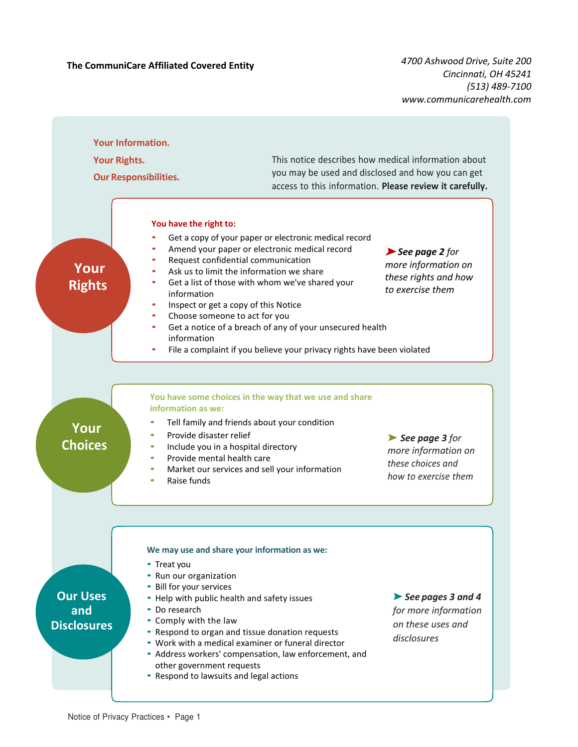### **The CommuniCare Affiliated Covered Entity** *4700 Ashwood Drive, Suite 200*

*Cincinnati, OH 45241 (513) 489-7100 [www.communicarehealth.com](http://www.communicarehealth.com/)* 

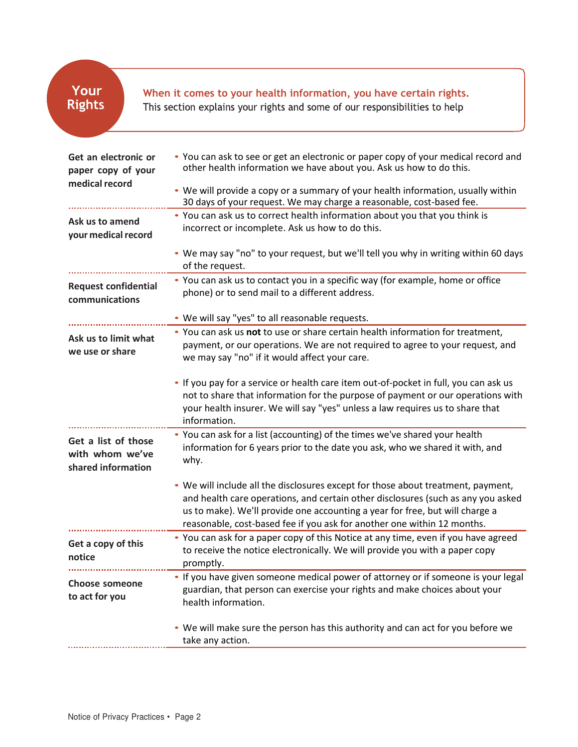# **Rights**

## When it comes to your health information, you have certain rights.<br>This section explains your rights and some of our responsibilities to help

| Get an electronic or<br>paper copy of your                   | • You can ask to see or get an electronic or paper copy of your medical record and<br>other health information we have about you. Ask us how to do this.                                                                                                                                                                        |  |
|--------------------------------------------------------------|---------------------------------------------------------------------------------------------------------------------------------------------------------------------------------------------------------------------------------------------------------------------------------------------------------------------------------|--|
| medical record                                               | • We will provide a copy or a summary of your health information, usually within<br>30 days of your request. We may charge a reasonable, cost-based fee.                                                                                                                                                                        |  |
| Ask us to amend<br>your medical record                       | • You can ask us to correct health information about you that you think is<br>incorrect or incomplete. Ask us how to do this.                                                                                                                                                                                                   |  |
|                                                              | . We may say "no" to your request, but we'll tell you why in writing within 60 days<br>of the request.                                                                                                                                                                                                                          |  |
| <b>Request confidential</b><br>communications                | • You can ask us to contact you in a specific way (for example, home or office<br>phone) or to send mail to a different address.                                                                                                                                                                                                |  |
|                                                              | • We will say "yes" to all reasonable requests.                                                                                                                                                                                                                                                                                 |  |
| Ask us to limit what<br>we use or share                      | . You can ask us not to use or share certain health information for treatment,<br>payment, or our operations. We are not required to agree to your request, and<br>we may say "no" if it would affect your care.                                                                                                                |  |
|                                                              | . If you pay for a service or health care item out-of-pocket in full, you can ask us<br>not to share that information for the purpose of payment or our operations with<br>your health insurer. We will say "yes" unless a law requires us to share that<br>information.                                                        |  |
| Get a list of those<br>with whom we've<br>shared information | • You can ask for a list (accounting) of the times we've shared your health<br>information for 6 years prior to the date you ask, who we shared it with, and<br>why.                                                                                                                                                            |  |
|                                                              | . We will include all the disclosures except for those about treatment, payment,<br>and health care operations, and certain other disclosures (such as any you asked<br>us to make). We'll provide one accounting a year for free, but will charge a<br>reasonable, cost-based fee if you ask for another one within 12 months. |  |
| Get a copy of this<br>notice                                 | • You can ask for a paper copy of this Notice at any time, even if you have agreed<br>to receive the notice electronically. We will provide you with a paper copy<br>promptly.                                                                                                                                                  |  |
| <b>Choose someone</b><br>to act for you                      | . If you have given someone medical power of attorney or if someone is your legal<br>guardian, that person can exercise your rights and make choices about your<br>health information.                                                                                                                                          |  |
|                                                              | • We will make sure the person has this authority and can act for you before we<br>take any action.                                                                                                                                                                                                                             |  |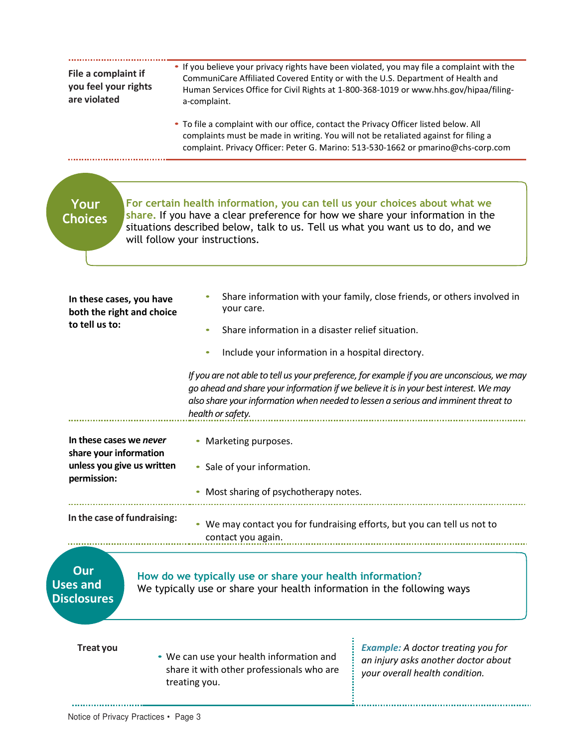| File a complaint if<br>you feel your rights<br>are violated                                    | CommuniCare Affiliated Covered Entity or with the U.S. Department of Health and<br>a-complaint.<br>• To file a complaint with our office, contact the Privacy Officer listed below. All<br>complaints must be made in writing. You will not be retaliated against for filing a   | . If you believe your privacy rights have been violated, you may file a complaint with the<br>Human Services Office for Civil Rights at 1-800-368-1019 or www.hhs.gov/hipaa/filing-<br>complaint. Privacy Officer: Peter G. Marino: 513-530-1662 or pmarino@chs-corp.com                                                                              |
|------------------------------------------------------------------------------------------------|----------------------------------------------------------------------------------------------------------------------------------------------------------------------------------------------------------------------------------------------------------------------------------|-------------------------------------------------------------------------------------------------------------------------------------------------------------------------------------------------------------------------------------------------------------------------------------------------------------------------------------------------------|
| Your<br><b>Choices</b>                                                                         | For certain health information, you can tell us your choices about what we<br>share. If you have a clear preference for how we share your information in the<br>situations described below, talk to us. Tell us what you want us to do, and we<br>will follow your instructions. |                                                                                                                                                                                                                                                                                                                                                       |
| In these cases, you have<br>both the right and choice<br>to tell us to:                        | your care.<br>Share information in a disaster relief situation.<br>$\bullet$<br>Include your information in a hospital directory.<br>$\bullet$<br>health or safety.                                                                                                              | Share information with your family, close friends, or others involved in<br>If you are not able to tell us your preference, for example if you are unconscious, we may<br>go ahead and share your information if we believe it is in your best interest. We may<br>also share your information when needed to lessen a serious and imminent threat to |
| In these cases we never<br>share your information<br>unless you give us written<br>permission: | • Marketing purposes.<br>• Sale of your information.<br>• Most sharing of psychotherapy notes.                                                                                                                                                                                   |                                                                                                                                                                                                                                                                                                                                                       |
| In the case of fundraising:                                                                    | contact you again.                                                                                                                                                                                                                                                               | • We may contact you for fundraising efforts, but you can tell us not to                                                                                                                                                                                                                                                                              |
| Our<br><b>Uses and</b><br><b>Disclosures</b>                                                   | How do we typically use or share your health information?<br>We typically use or share your health information in the following ways                                                                                                                                             |                                                                                                                                                                                                                                                                                                                                                       |
| <b>Treat you</b>                                                                               | • We can use your health information and<br>share it with other professionals who are<br>treating you.                                                                                                                                                                           | <b>Example:</b> A doctor treating you for<br>an injury asks another doctor about<br>your overall health condition.                                                                                                                                                                                                                                    |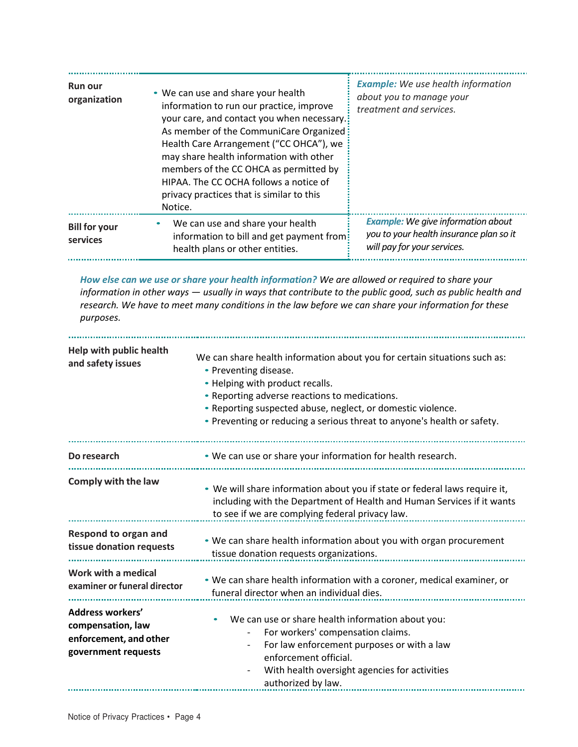| <b>Run our</b><br>organization   | • We can use and share your health<br>information to run our practice, improve<br>your care, and contact you when necessary.<br>As member of the CommuniCare Organized:<br>Health Care Arrangement ("CC OHCA"), we<br>may share health information with other<br>members of the CC OHCA as permitted by<br>HIPAA. The CC OCHA follows a notice of<br>privacy practices that is similar to this<br>Notice. | <b>Example:</b> We use health information<br>about you to manage your<br>treatment and services.                    |
|----------------------------------|-----------------------------------------------------------------------------------------------------------------------------------------------------------------------------------------------------------------------------------------------------------------------------------------------------------------------------------------------------------------------------------------------------------|---------------------------------------------------------------------------------------------------------------------|
| <b>Bill for your</b><br>services | We can use and share your health<br>information to bill and get payment from:<br>health plans or other entities.                                                                                                                                                                                                                                                                                          | <b>Example:</b> We give information about<br>you to your health insurance plan so it<br>will pay for your services. |

*How else can we use or share your health information? We are allowed or required to share your information in other ways — usually in ways that contribute to the public good, such as public health and research. We have to meet many conditions in the law before we can share your information for these purposes.* 

| Help with public health<br>and safety issues                                                  | We can share health information about you for certain situations such as:<br>• Preventing disease.<br>• Helping with product recalls.<br>• Reporting adverse reactions to medications.<br>• Reporting suspected abuse, neglect, or domestic violence.<br>• Preventing or reducing a serious threat to anyone's health or safety. |
|-----------------------------------------------------------------------------------------------|----------------------------------------------------------------------------------------------------------------------------------------------------------------------------------------------------------------------------------------------------------------------------------------------------------------------------------|
| Do research                                                                                   | . We can use or share your information for health research.                                                                                                                                                                                                                                                                      |
| Comply with the law                                                                           | . We will share information about you if state or federal laws require it,<br>including with the Department of Health and Human Services if it wants<br>to see if we are complying federal privacy law.                                                                                                                          |
| Respond to organ and<br>tissue donation requests                                              | • We can share health information about you with organ procurement<br>tissue donation requests organizations.                                                                                                                                                                                                                    |
| Work with a medical<br>examiner or funeral director                                           | . We can share health information with a coroner, medical examiner, or<br>funeral director when an individual dies.                                                                                                                                                                                                              |
| <b>Address workers'</b><br>compensation, law<br>enforcement, and other<br>government requests | We can use or share health information about you:<br>For workers' compensation claims.<br>For law enforcement purposes or with a law<br>enforcement official.<br>With health oversight agencies for activities<br>authorized by law.                                                                                             |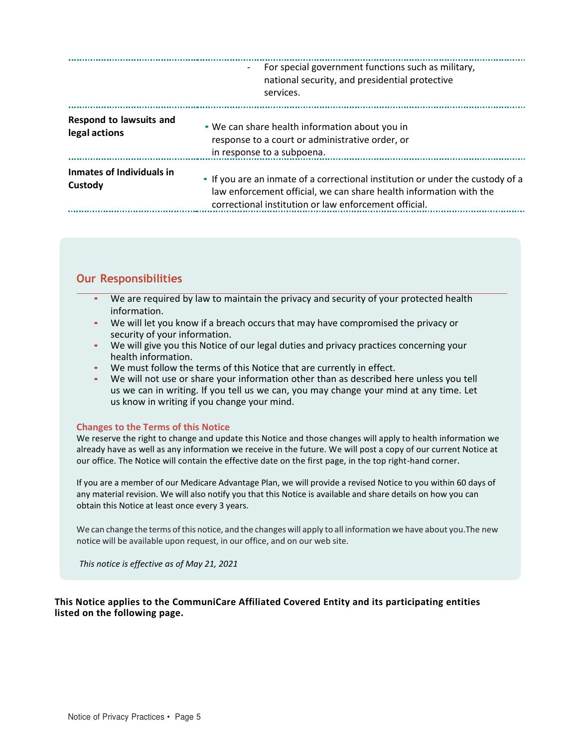|                                                 | For special government functions such as military,<br>$\overline{\phantom{a}}$<br>national security, and presidential protective<br>services.                                                                 |
|-------------------------------------------------|---------------------------------------------------------------------------------------------------------------------------------------------------------------------------------------------------------------|
| <b>Respond to lawsuits and</b><br>legal actions | • We can share health information about you in<br>response to a court or administrative order, or<br>in response to a subpoena.                                                                               |
| <b>Inmates of Individuals in</b><br>Custody     | • If you are an inmate of a correctional institution or under the custody of a<br>law enforcement official, we can share health information with the<br>correctional institution or law enforcement official. |
|                                                 |                                                                                                                                                                                                               |

### **Our Responsibilities**

- We are required by law to maintain the privacy and security of your protected health information.
- We will let you know if a breach occurs that may have compromised the privacy or security of your information.
- We will give you this Notice of our legal duties and privacy practices concerning your health information.
- We must follow the terms of this Notice that are currently in effect.
- We will not use or share your information other than as described here unless you tell us we can in writing. If you tell us we can, you may change your mind at any time. Let us know in writing if you change your mind.

#### **Changes to the Terms of this Notice**

We reserve the right to change and update this Notice and those changes will apply to health information we already have as well as any information we receive in the future. We will post a copy of our current Notice at our office. The Notice will contain the effective date on the first page, in the top right-hand corner.

If you are a member of our Medicare Advantage Plan, we will provide a revised Notice to you within 60 days of any material revision. We will also notify you that this Notice is available and share details on how you can obtain this Notice at least once every 3 years.

We can change the terms of this notice, and the changes will apply to all information we have about you. The new notice will be available upon request, in our office, and on our web site.

*This notice is effective as of May 21, 2021* 

**This Notice applies to the CommuniCare Affiliated Covered Entity and its participating entities listed on the following page.**